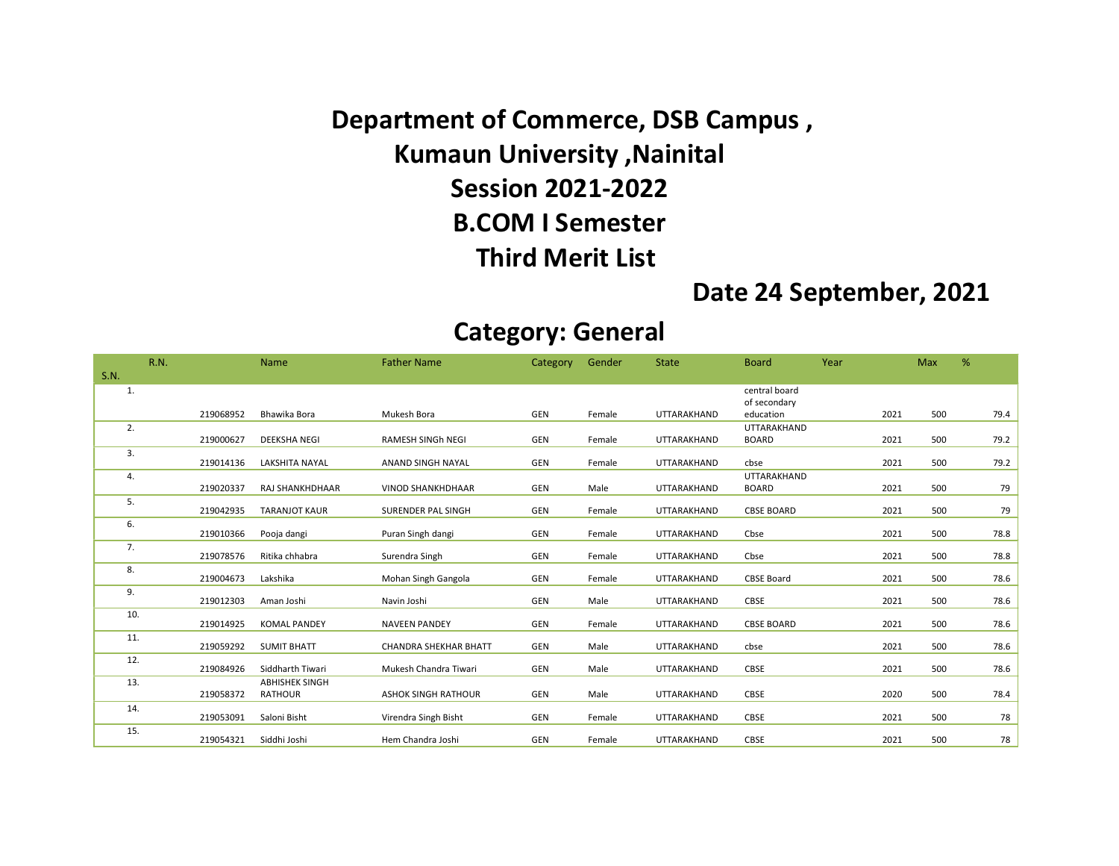Department of Commerce, DSB Campus , Kumaun University ,Nainital Session 2021-2022 B.COM I Semester Third Merit List

### Date 24 September, 2021

#### Category: General

|      | <b>R.N.</b> |           | Name                   | <b>Father Name</b>           | Category | Gender | <b>State</b>       | <b>Board</b>              | Year |      | Max | %    |
|------|-------------|-----------|------------------------|------------------------------|----------|--------|--------------------|---------------------------|------|------|-----|------|
| S.N. |             |           |                        |                              |          |        |                    |                           |      |      |     |      |
| 1.   |             |           |                        |                              |          |        |                    | central board             |      |      |     |      |
|      |             | 219068952 | Bhawika Bora           | Mukesh Bora                  | GEN      | Female | UTTARAKHAND        | of secondary<br>education |      | 2021 | 500 | 79.4 |
| 2.   |             |           |                        |                              |          |        |                    | UTTARAKHAND               |      |      |     |      |
|      |             | 219000627 | <b>DEEKSHA NEGI</b>    | RAMESH SINGh NEGI            | GEN      | Female | UTTARAKHAND        | <b>BOARD</b>              |      | 2021 | 500 | 79.2 |
| 3.   |             | 219014136 | <b>LAKSHITA NAYAL</b>  | ANAND SINGH NAYAL            | GEN      | Female | UTTARAKHAND        | cbse                      |      | 2021 | 500 | 79.2 |
| 4.   |             |           |                        |                              |          |        |                    | UTTARAKHAND               |      |      |     |      |
|      |             | 219020337 | <b>RAJ SHANKHDHAAR</b> | <b>VINOD SHANKHDHAAR</b>     | GEN      | Male   | <b>UTTARAKHAND</b> | <b>BOARD</b>              |      | 2021 | 500 | 79   |
| 5.   |             | 219042935 | <b>TARANJOT KAUR</b>   | SURENDER PAL SINGH           | GEN      | Female | UTTARAKHAND        | <b>CBSE BOARD</b>         |      | 2021 | 500 | 79   |
| 6.   |             |           |                        |                              |          |        |                    |                           |      |      |     |      |
|      |             | 219010366 | Pooja dangi            | Puran Singh dangi            | GEN      | Female | UTTARAKHAND        | Cbse                      |      | 2021 | 500 | 78.8 |
| 7.   |             | 219078576 | Ritika chhabra         | Surendra Singh               | GEN      | Female | UTTARAKHAND        | Cbse                      |      | 2021 | 500 | 78.8 |
| 8.   |             | 219004673 | Lakshika               | Mohan Singh Gangola          | GEN      | Female | UTTARAKHAND        | <b>CBSE Board</b>         |      | 2021 | 500 | 78.6 |
| 9.   |             | 219012303 | Aman Joshi             | Navin Joshi                  | GEN      | Male   | UTTARAKHAND        | <b>CBSE</b>               |      | 2021 | 500 | 78.6 |
| 10.  |             |           |                        |                              |          |        |                    |                           |      |      |     |      |
|      |             | 219014925 | <b>KOMAL PANDEY</b>    | <b>NAVEEN PANDEY</b>         | GEN      | Female | UTTARAKHAND        | <b>CBSE BOARD</b>         |      | 2021 | 500 | 78.6 |
| 11.  |             | 219059292 | <b>SUMIT BHATT</b>     | <b>CHANDRA SHEKHAR BHATT</b> | GEN      | Male   | <b>UTTARAKHAND</b> | cbse                      |      | 2021 | 500 | 78.6 |
| 12.  |             | 219084926 | Siddharth Tiwari       | Mukesh Chandra Tiwari        | GEN      | Male   | UTTARAKHAND        | CBSE                      |      | 2021 | 500 | 78.6 |
| 13.  |             |           | <b>ABHISHEK SINGH</b>  |                              |          |        |                    |                           |      |      |     |      |
|      |             | 219058372 | <b>RATHOUR</b>         | <b>ASHOK SINGH RATHOUR</b>   | GEN      | Male   | UTTARAKHAND        | CBSE                      |      | 2020 | 500 | 78.4 |
| 14.  |             | 219053091 | Saloni Bisht           | Virendra Singh Bisht         | GEN      | Female | UTTARAKHAND        | CBSE                      |      | 2021 | 500 | 78   |
| 15.  |             | 219054321 | Siddhi Joshi           | Hem Chandra Joshi            | GEN      | Female | UTTARAKHAND        | CBSE                      |      | 2021 | 500 | 78   |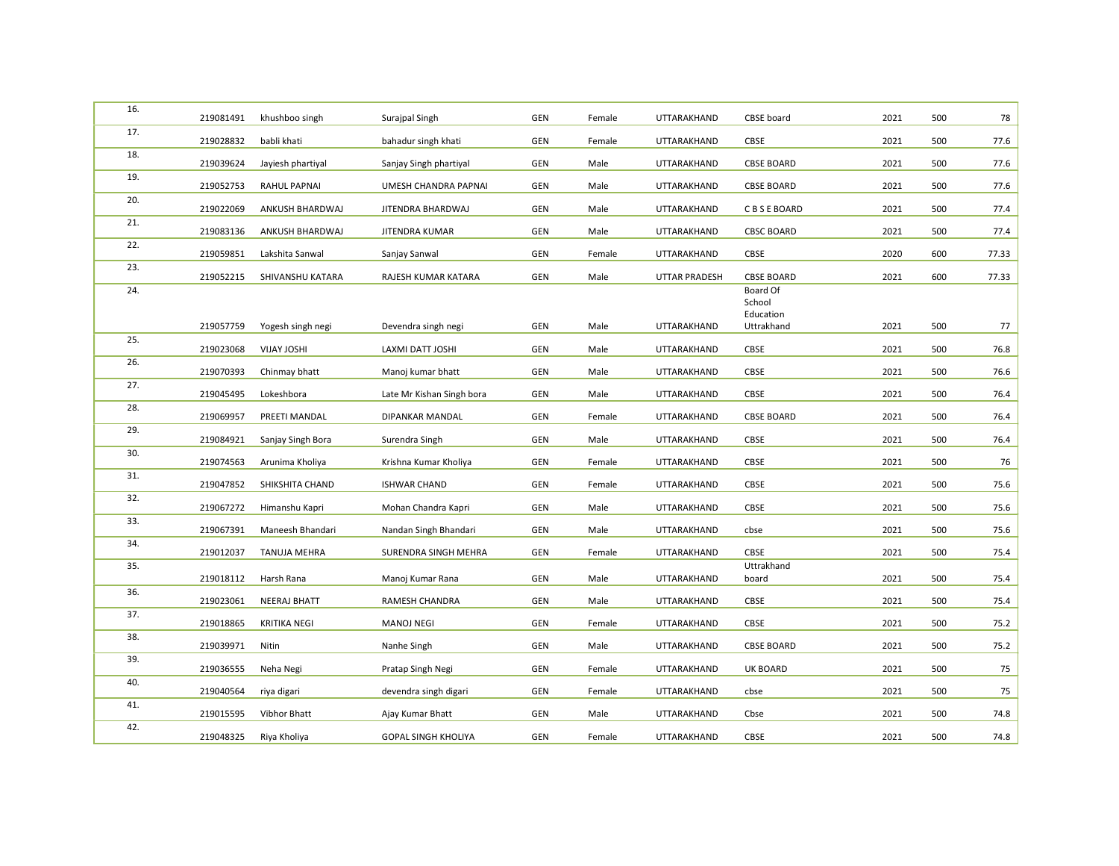| 16. | 219081491              | khushboo singh      | Surajpal Singh             | <b>GEN</b>        | Female       | UTTARAKHAND        | CBSE board              | 2021         | 500        | 78    |
|-----|------------------------|---------------------|----------------------------|-------------------|--------------|--------------------|-------------------------|--------------|------------|-------|
| 17. | 219028832              | babli khati         | bahadur singh khati        | <b>GEN</b>        | Female       | UTTARAKHAND        | CBSE                    | 2021         | 500        | 77.6  |
| 18. | 219039624              | Jayiesh phartiyal   | Sanjay Singh phartiyal     | <b>GEN</b>        | Male         | UTTARAKHAND        | <b>CBSE BOARD</b>       | 2021         | 500        | 77.6  |
| 19. | 219052753              | <b>RAHUL PAPNAI</b> | UMESH CHANDRA PAPNAI       | GEN               | Male         | UTTARAKHAND        | <b>CBSE BOARD</b>       | 2021         | 500        | 77.6  |
| 20. | 219022069              | ANKUSH BHARDWAJ     | JITENDRA BHARDWAJ          | <b>GEN</b>        | Male         | UTTARAKHAND        | C B S E BOARD           | 2021         | 500        | 77.4  |
| 21. | 219083136              | ANKUSH BHARDWAJ     | JITENDRA KUMAR             | <b>GEN</b>        | Male         | UTTARAKHAND        | <b>CBSC BOARD</b>       | 2021         | 500        | 77.4  |
| 22. | 219059851              | Lakshita Sanwal     | Sanjay Sanwal              | <b>GEN</b>        | Female       | <b>UTTARAKHAND</b> | CBSE                    | 2020         | 600        | 77.33 |
| 23. | 219052215              | SHIVANSHU KATARA    | RAJESH KUMAR KATARA        | <b>GEN</b>        | Male         | UTTAR PRADESH      | <b>CBSE BOARD</b>       | 2021         | 600        | 77.33 |
| 24. |                        |                     |                            |                   |              |                    | Board Of<br>School      |              |            |       |
|     | 219057759              |                     |                            | GEN               | Male         | UTTARAKHAND        | Education<br>Uttrakhand | 2021         | 500        | 77    |
| 25. |                        | Yogesh singh negi   | Devendra singh negi        |                   |              |                    |                         |              |            |       |
| 26. | 219023068<br>219070393 | <b>VIJAY JOSHI</b>  | LAXMI DATT JOSHI           | GEN<br><b>GEN</b> | Male<br>Male | UTTARAKHAND        | CBSE<br>CBSE            | 2021<br>2021 | 500<br>500 | 76.8  |
| 27. |                        | Chinmay bhatt       | Manoj kumar bhatt          |                   |              | UTTARAKHAND        |                         |              |            | 76.6  |
| 28. | 219045495              | Lokeshbora          | Late Mr Kishan Singh bora  | GEN               | Male         | UTTARAKHAND        | CBSE                    | 2021         | 500        | 76.4  |
| 29. | 219069957              | PREETI MANDAL       | DIPANKAR MANDAL            | <b>GEN</b>        | Female       | UTTARAKHAND        | <b>CBSE BOARD</b>       | 2021         | 500        | 76.4  |
| 30. | 219084921              | Sanjay Singh Bora   | Surendra Singh             | GEN               | Male         | UTTARAKHAND        | CBSE                    | 2021         | 500        | 76.4  |
| 31. | 219074563              | Arunima Kholiya     | Krishna Kumar Kholiya      | GEN               | Female       | UTTARAKHAND        | CBSE                    | 2021         | 500        | 76    |
| 32. | 219047852              | SHIKSHITA CHAND     | <b>ISHWAR CHAND</b>        | GEN               | Female       | UTTARAKHAND        | CBSE                    | 2021         | 500        | 75.6  |
| 33. | 219067272              | Himanshu Kapri      | Mohan Chandra Kapri        | GEN               | Male         | UTTARAKHAND        | CBSE                    | 2021         | 500        | 75.6  |
| 34. | 219067391              | Maneesh Bhandari    | Nandan Singh Bhandari      | <b>GEN</b>        | Male         | UTTARAKHAND        | cbse                    | 2021         | 500        | 75.6  |
| 35. | 219012037              | TANUJA MEHRA        | SURENDRA SINGH MEHRA       | <b>GEN</b>        | Female       | UTTARAKHAND        | CBSE<br>Uttrakhand      | 2021         | 500        | 75.4  |
|     | 219018112              | Harsh Rana          | Manoj Kumar Rana           | <b>GEN</b>        | Male         | UTTARAKHAND        | board                   | 2021         | 500        | 75.4  |
| 36. | 219023061              | <b>NEERAJ BHATT</b> | RAMESH CHANDRA             | <b>GEN</b>        | Male         | UTTARAKHAND        | CBSE                    | 2021         | 500        | 75.4  |
| 37. | 219018865              | <b>KRITIKA NEGI</b> | <b>MANOJ NEGI</b>          | GEN               | Female       | UTTARAKHAND        | CBSE                    | 2021         | 500        | 75.2  |
| 38. | 219039971              | Nitin               | Nanhe Singh                | GEN               | Male         | UTTARAKHAND        | <b>CBSE BOARD</b>       | 2021         | 500        | 75.2  |
| 39. | 219036555              | Neha Negi           | Pratap Singh Negi          | <b>GEN</b>        | Female       | UTTARAKHAND        | UK BOARD                | 2021         | 500        | 75    |
| 40. | 219040564              | riya digari         | devendra singh digari      | GEN               | Female       | UTTARAKHAND        | cbse                    | 2021         | 500        | 75    |
| 41. | 219015595              | Vibhor Bhatt        | Ajay Kumar Bhatt           | GEN               | Male         | UTTARAKHAND        | Cbse                    | 2021         | 500        | 74.8  |
| 42. | 219048325              | Riya Kholiya        | <b>GOPAL SINGH KHOLIYA</b> | <b>GEN</b>        | Female       | UTTARAKHAND        | CBSE                    | 2021         | 500        | 74.8  |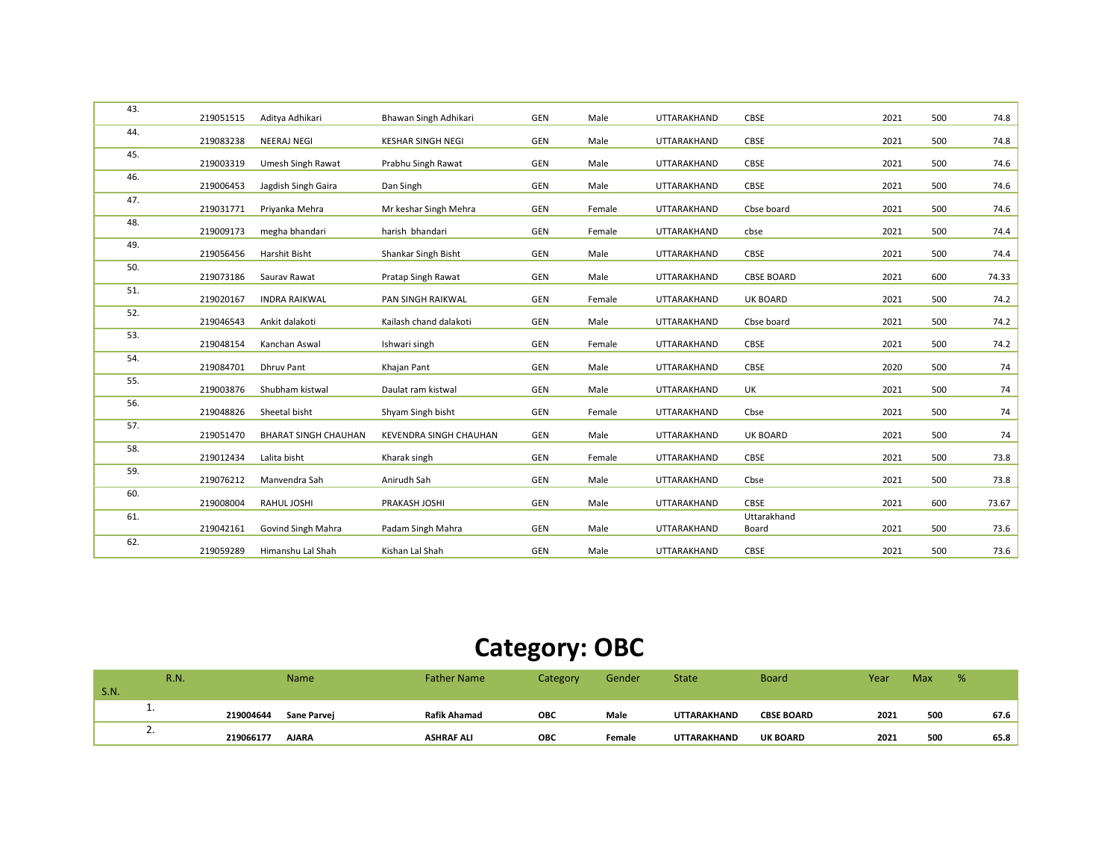| 43. | 219051515 | Aditya Adhikari             | Bhawan Singh Adhikari         | GEN        | Male   | UTTARAKHAND        | CBSE              | 2021 | 500 | 74.8  |
|-----|-----------|-----------------------------|-------------------------------|------------|--------|--------------------|-------------------|------|-----|-------|
| 44. | 219083238 | <b>NEERAJ NEGI</b>          | <b>KESHAR SINGH NEGI</b>      | GEN        | Male   | UTTARAKHAND        | CBSE              | 2021 | 500 | 74.8  |
| 45. | 219003319 | Umesh Singh Rawat           | Prabhu Singh Rawat            | GEN        | Male   | UTTARAKHAND        | CBSE              | 2021 | 500 | 74.6  |
| 46. | 219006453 | Jagdish Singh Gaira         | Dan Singh                     | GEN        | Male   | UTTARAKHAND        | CBSE              | 2021 | 500 | 74.6  |
| 47. | 219031771 | Priyanka Mehra              | Mr keshar Singh Mehra         | GEN        | Female | UTTARAKHAND        | Cbse board        | 2021 | 500 | 74.6  |
| 48. | 219009173 | megha bhandari              | harish bhandari               | GEN        | Female | UTTARAKHAND        | cbse              | 2021 | 500 | 74.4  |
| 49. | 219056456 | Harshit Bisht               | Shankar Singh Bisht           | GEN        | Male   | UTTARAKHAND        | CBSE              | 2021 | 500 | 74.4  |
| 50. | 219073186 | Saurav Rawat                | Pratap Singh Rawat            | GEN        | Male   | UTTARAKHAND        | <b>CBSE BOARD</b> | 2021 | 600 | 74.33 |
| 51. | 219020167 | <b>INDRA RAIKWAL</b>        | <b>PAN SINGH RAIKWAL</b>      | GEN        | Female | UTTARAKHAND        | <b>UK BOARD</b>   | 2021 | 500 | 74.2  |
| 52. | 219046543 | Ankit dalakoti              | Kailash chand dalakoti        | GEN        | Male   | UTTARAKHAND        | Cbse board        | 2021 | 500 | 74.2  |
| 53. |           |                             |                               |            |        |                    |                   | 2021 |     |       |
| 54. | 219048154 | Kanchan Aswal               | Ishwari singh                 | GEN        | Female | UTTARAKHAND        | CBSE              |      | 500 | 74.2  |
| 55. | 219084701 | <b>Dhruv Pant</b>           | Khajan Pant                   | GEN        | Male   | UTTARAKHAND        | CBSE              | 2020 | 500 | 74    |
| 56. | 219003876 | Shubham kistwal             | Daulat ram kistwal            | GEN        | Male   | UTTARAKHAND        | UK                | 2021 | 500 | 74    |
|     | 219048826 | Sheetal bisht               | Shyam Singh bisht             | GEN        | Female | UTTARAKHAND        | Cbse              | 2021 | 500 | 74    |
| 57. | 219051470 | <b>BHARAT SINGH CHAUHAN</b> | <b>KEVENDRA SINGH CHAUHAN</b> | <b>GEN</b> | Male   | UTTARAKHAND        | <b>UK BOARD</b>   | 2021 | 500 | 74    |
| 58. | 219012434 | Lalita bisht                | Kharak singh                  | GEN        | Female | UTTARAKHAND        | CBSE              | 2021 | 500 | 73.8  |
| 59. | 219076212 | Manvendra Sah               | Anirudh Sah                   | GEN        | Male   | UTTARAKHAND        | Cbse              | 2021 | 500 | 73.8  |
| 60. | 219008004 | RAHUL JOSHI                 | PRAKASH JOSHI                 | GEN        | Male   | <b>UTTARAKHAND</b> | CBSE              | 2021 | 600 | 73.67 |
| 61. |           |                             |                               |            |        |                    | Uttarakhand       |      |     |       |
|     | 219042161 | Govind Singh Mahra          | Padam Singh Mahra             | <b>GEN</b> | Male   | UTTARAKHAND        | Board             | 2021 | 500 | 73.6  |
| 62. | 219059289 | Himanshu Lal Shah           | Kishan Lal Shah               | GEN        | Male   | UTTARAKHAND        | CBSE              | 2021 | 500 | 73.6  |

### Category: OBC

|             | <b>R.N.</b> |           | Name               | <b>Father Name</b>  | Category   | Gender | <b>State</b>       | <b>Board</b>      | Year | <b>Max</b> | % |      |
|-------------|-------------|-----------|--------------------|---------------------|------------|--------|--------------------|-------------------|------|------------|---|------|
| <b>S.N.</b> |             |           |                    |                     |            |        |                    |                   |      |            |   |      |
|             | . .         | 219004644 | <b>Sane Parvei</b> | <b>Rafik Ahamad</b> | <b>OBC</b> | Male   | <b>UTTARAKHAND</b> | <b>CBSE BOARD</b> | 2021 | 500        |   | 67.6 |
|             |             |           |                    |                     |            |        |                    |                   |      |            |   |      |
|             | <u>.</u>    | 219066177 | <b>AJARA</b>       | <b>ASHRAF ALI</b>   | <b>OBC</b> | Female | <b>UTTARAKHAND</b> | <b>UK BOARD</b>   | 2021 | 500        |   | 65.8 |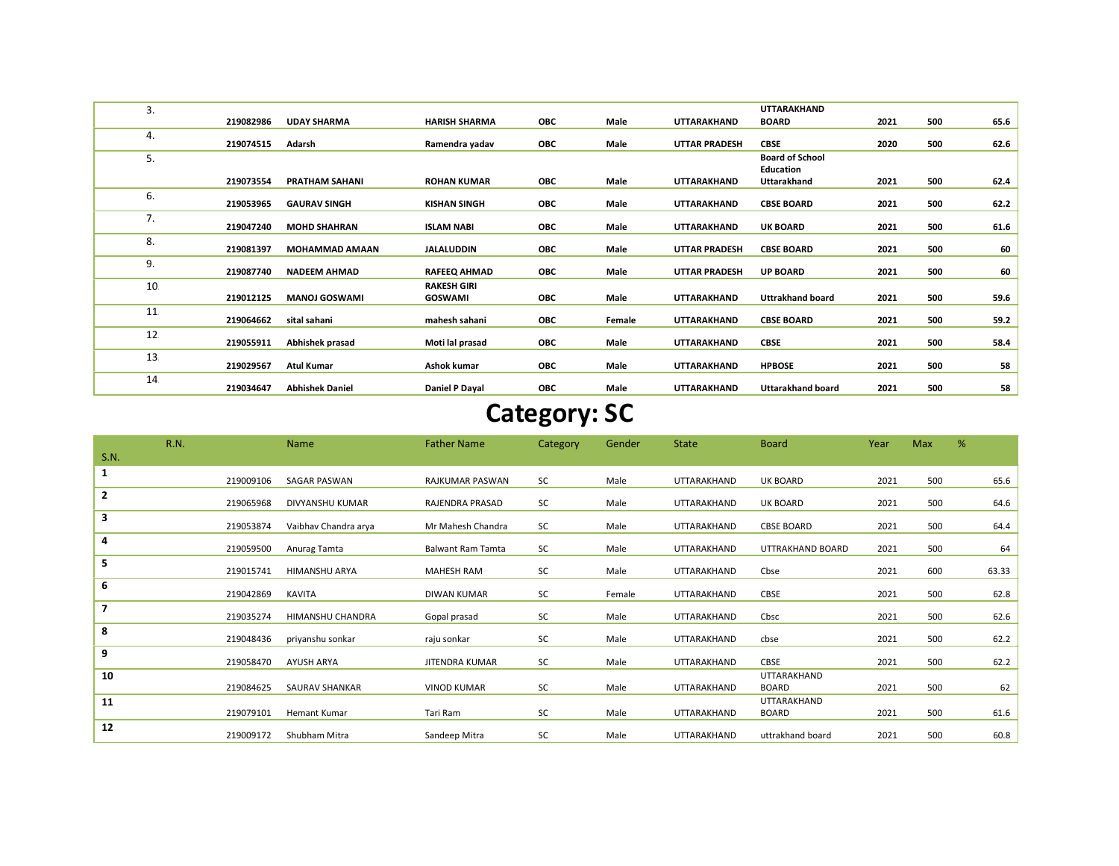| 3. |           |                        |                                      |            |        |                      | <b>UTTARAKHAND</b>                         |      |     |      |
|----|-----------|------------------------|--------------------------------------|------------|--------|----------------------|--------------------------------------------|------|-----|------|
|    | 219082986 | <b>UDAY SHARMA</b>     | <b>HARISH SHARMA</b>                 | <b>OBC</b> | Male   | <b>UTTARAKHAND</b>   | <b>BOARD</b>                               | 2021 | 500 | 65.6 |
| 4. | 219074515 | Adarsh                 | Ramendra yadav                       | ОВС        | Male   | <b>UTTAR PRADESH</b> | <b>CBSE</b>                                | 2020 | 500 | 62.6 |
| 5. |           |                        |                                      |            |        |                      | <b>Board of School</b><br><b>Education</b> |      |     |      |
|    | 219073554 | <b>PRATHAM SAHANI</b>  | <b>ROHAN KUMAR</b>                   | <b>OBC</b> | Male   | <b>UTTARAKHAND</b>   | Uttarakhand                                | 2021 | 500 | 62.4 |
| 6. | 219053965 | <b>GAURAV SINGH</b>    | <b>KISHAN SINGH</b>                  | ОВС        | Male   | <b>UTTARAKHAND</b>   | <b>CBSE BOARD</b>                          | 2021 | 500 | 62.2 |
| 7. | 219047240 | <b>MOHD SHAHRAN</b>    | <b>ISLAM NABI</b>                    | <b>OBC</b> | Male   | <b>UTTARAKHAND</b>   | <b>UK BOARD</b>                            | 2021 | 500 | 61.6 |
| 8. | 219081397 | <b>MOHAMMAD AMAAN</b>  | <b>JALALUDDIN</b>                    | <b>OBC</b> | Male   | <b>UTTAR PRADESH</b> | <b>CBSE BOARD</b>                          | 2021 | 500 | 60   |
| 9. | 219087740 | <b>NADEEM AHMAD</b>    | <b>RAFEEQ AHMAD</b>                  | <b>OBC</b> | Male   | <b>UTTAR PRADESH</b> | <b>UP BOARD</b>                            | 2021 | 500 | 60   |
| 10 | 219012125 | <b>MANOJ GOSWAMI</b>   | <b>RAKESH GIRI</b><br><b>GOSWAMI</b> | <b>OBC</b> | Male   | <b>UTTARAKHAND</b>   | <b>Uttrakhand board</b>                    | 2021 | 500 | 59.6 |
| 11 | 219064662 | sital sahani           | mahesh sahani                        | ОВС        | Female | UTTARAKHAND          | <b>CBSE BOARD</b>                          | 2021 | 500 | 59.2 |
| 12 | 219055911 | Abhishek prasad        | Moti lal prasad                      | ОВС        | Male   | UTTARAKHAND          | <b>CBSE</b>                                | 2021 | 500 | 58.4 |
| 13 | 219029567 | <b>Atul Kumar</b>      | Ashok kumar                          | ОВС        | Male   | UTTARAKHAND          | <b>HPBOSE</b>                              | 2021 | 500 | 58   |
| 14 | 219034647 | <b>Abhishek Daniel</b> | Daniel P Dayal                       | <b>OBC</b> | Male   | <b>UTTARAKHAND</b>   | <b>Uttarakhand board</b>                   | 2021 | 500 | 58   |

## Category: SC

|                | <b>R.N.</b> |           | <b>Name</b>           | <b>Father Name</b>       | Category | Gender | <b>State</b> | <b>Board</b>                | Year | <b>Max</b> | %     |
|----------------|-------------|-----------|-----------------------|--------------------------|----------|--------|--------------|-----------------------------|------|------------|-------|
| S.N.           |             |           |                       |                          |          |        |              |                             |      |            |       |
| 1              |             | 219009106 | <b>SAGAR PASWAN</b>   | <b>RAJKUMAR PASWAN</b>   | SC       | Male   | UTTARAKHAND  | <b>UK BOARD</b>             | 2021 | 500        | 65.6  |
| $\mathbf{2}$   |             | 219065968 | DIVYANSHU KUMAR       | RAJENDRA PRASAD          | SC       | Male   | UTTARAKHAND  | UK BOARD                    | 2021 | 500        | 64.6  |
| 3              |             | 219053874 | Vaibhav Chandra arya  | Mr Mahesh Chandra        | SC       | Male   | UTTARAKHAND  | <b>CBSE BOARD</b>           | 2021 | 500        | 64.4  |
| 4              |             | 219059500 | Anurag Tamta          | <b>Balwant Ram Tamta</b> | SC       | Male   | UTTARAKHAND  | UTTRAKHAND BOARD            | 2021 | 500        | 64    |
| 5              |             | 219015741 | HIMANSHU ARYA         | <b>MAHESH RAM</b>        | SC       | Male   | UTTARAKHAND  | Cbse                        | 2021 | 600        | 63.33 |
| 6              |             | 219042869 | <b>KAVITA</b>         | <b>DIWAN KUMAR</b>       | SC       | Female | UTTARAKHAND  | CBSE                        | 2021 | 500        | 62.8  |
| $\overline{7}$ |             | 219035274 | HIMANSHU CHANDRA      | Gopal prasad             | SC       | Male   | UTTARAKHAND  | Cbsc                        | 2021 | 500        | 62.6  |
| 8              |             | 219048436 | priyanshu sonkar      | raju sonkar              | SC       | Male   | UTTARAKHAND  | cbse                        | 2021 | 500        | 62.2  |
| 9              |             | 219058470 | AYUSH ARYA            | JITENDRA KUMAR           | SC       | Male   | UTTARAKHAND  | <b>CBSE</b>                 | 2021 | 500        | 62.2  |
| 10             |             | 219084625 | <b>SAURAV SHANKAR</b> | <b>VINOD KUMAR</b>       | SC       | Male   | UTTARAKHAND  | UTTARAKHAND<br><b>BOARD</b> | 2021 | 500        | 62    |
| 11             |             |           |                       |                          |          |        |              | UTTARAKHAND                 |      |            |       |
|                |             | 219079101 | <b>Hemant Kumar</b>   | Tari Ram                 | SC       | Male   | UTTARAKHAND  | <b>BOARD</b>                | 2021 | 500        | 61.6  |
| 12             |             | 219009172 | Shubham Mitra         | Sandeep Mitra            | SC       | Male   | UTTARAKHAND  | uttrakhand board            | 2021 | 500        | 60.8  |